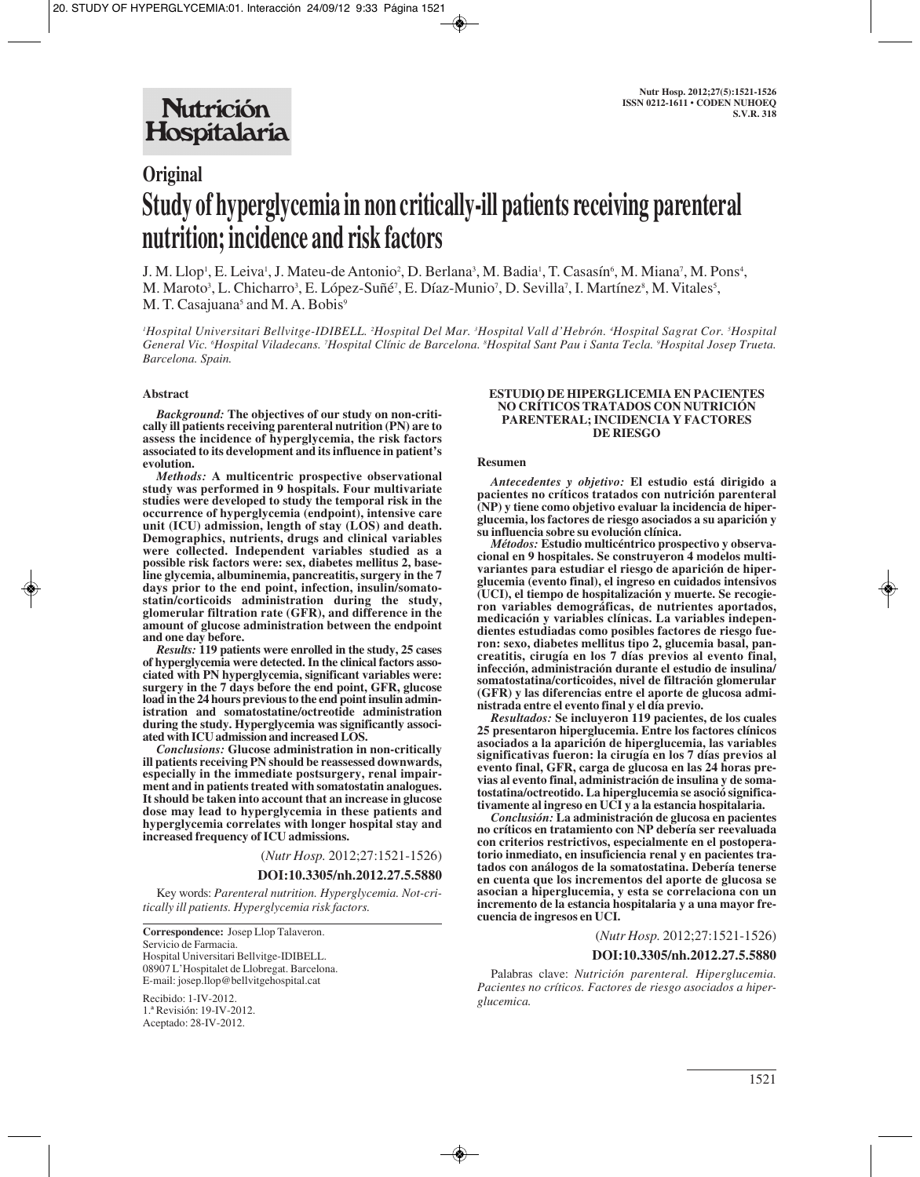# **Original Study of hyperglycemia in non critically-ill patients receiving parenteral nutrition; incidence and risk factors**

J. M. Llop<sup>1</sup>, E. Leiva<sup>1</sup>, J. Mateu-de Antonio<sup>2</sup>, D. Berlana<sup>3</sup>, M. Badia<sup>1</sup>, T. Casasín<sup>6</sup>, M. Miana<sup>7</sup>, M. Pons<sup>4</sup>, M. Maroto<sup>3</sup>, L. Chicharro<sup>3</sup>, E. López-Suñé<sup>7</sup>, E. Díaz-Munio<sup>7</sup>, D. Sevilla<sup>7</sup>, I. Martínez<sup>8</sup>, M. Vitales<sup>5</sup>, M. T. Casajuana<sup>5</sup> and M. A. Bobis<sup>9</sup>

*1 Hospital Universitari Bellvitge-IDIBELL. 2 Hospital Del Mar. 3 Hospital Vall d'Hebrón. 4 Hospital Sagrat Cor. 5 Hospital General Vic. 6 Hospital Viladecans. 7 Hospital Clínic de Barcelona. 8 Hospital Sant Pau i Santa Tecla. 9 Hospital Josep Trueta. Barcelona. Spain.*

#### **Abstract**

*Background:* **The objectives of our study on non-critically ill patients receiving parenteral nutrition (PN) are to assess the incidence of hyperglycemia, the risk factors associated to its development and its influence in patient's evolution.** 

*Methods:* **A multicentric prospective observational study was performed in 9 hospitals. Four multivariate studies were developed to study the temporal risk in the occurrence of hyperglycemia (endpoint), intensive care unit (ICU) admission, length of stay (LOS) and death. Demographics, nutrients, drugs and clinical variables were collected. Independent variables studied as a possible risk factors were: sex, diabetes mellitus 2, baseline glycemia, albuminemia, pancreatitis, surgery in the 7 days prior to the end point, infection, insulin/somatostatin/corticoids administration during the study, glomerular filtration rate (GFR), and difference in the amount of glucose administration between the endpoint and one day before.** 

*Results:* **119 patients were enrolled in the study, 25 cases of hyperglycemia were detected. In the clinical factors associated with PN hyperglycemia, significant variables were: surgery in the 7 days before the end point, GFR, glucose load in the 24 hours previous to the end point insulin administration and somatostatine/octreotide administration during the study. Hyperglycemia was significantly associated with ICU admission and increased LOS.**

*Conclusions:* **Glucose administration in non-critically ill patients receiving PN should be reassessed downwards, especially in the immediate postsurgery, renal impairment and in patients treated with somatostatin analogues. It should be taken into account that an increase in glucose dose may lead to hyperglycemia in these patients and hyperglycemia correlates with longer hospital stay and increased frequency of ICU admissions.**

(*Nutr Hosp.* 2012;27:1521-1526)

#### **DOI:10.3305/nh.2012.27.5.5880**

Key words: *Parenteral nutrition. Hyperglycemia. Not-critically ill patients. Hyperglycemia risk factors.*

**Correspondence:** Josep Llop Talaveron. Servicio de Farmacia. Hospital Universitari Bellvitge-IDIBELL. 08907 L'Hospitalet de Llobregat. Barcelona. E-mail: josep.llop@bellvitgehospital.cat

Recibido: 1-IV-2012. 1.ª Revisión: 19-IV-2012. Aceptado: 28-IV-2012.

#### **ESTUDIO DE HIPERGLICEMIA EN PACIENTES NO CRÍTICOS TRATADOS CON NUTRICIÓN PARENTERAL; INCIDENCIA Y FACTORES DE RIESGO**

#### **Resumen**

*Antecedentes y objetivo:* **El estudio está dirigido a pacientes no críticos tratados con nutrición parenteral (NP) y tiene como objetivo evaluar la incidencia de hiperglucemia, los factores de riesgo asociados a su aparición y su influencia sobre su evolución clínica.** 

*Métodos:* **Estudio multicéntrico prospectivo y observacional en 9 hospitales. Se construyeron 4 modelos multivariantes para estudiar el riesgo de aparición de hiperglucemia (evento final), el ingreso en cuidados intensivos (UCI), el tiempo de hospitalización y muerte. Se recogieron variables demográficas, de nutrientes aportados, medicación y variables clínicas. La variables independientes estudiadas como posibles factores de riesgo fueron: sexo, diabetes mellitus tipo 2, glucemia basal, pancreatitis, cirugía en los 7 días previos al evento final, infección, administración durante el estudio de insulina/ somatostatina/corticoides, nivel de filtración glomerular (GFR) y las diferencias entre el aporte de glucosa administrada entre el evento final y el día previo.**

*Resultados:* **Se incluyeron 119 pacientes, de los cuales 25 presentaron hiperglucemia. Entre los factores clínicos asociados a la aparición de hiperglucemia, las variables significativas fueron: la cirugía en los 7 días previos al evento final, GFR, carga de glucosa en las 24 horas previas al evento final, administración de insulina y de somatostatina/octreotido. La hiperglucemia se asoció significativamente al ingreso en UCI y a la estancia hospitalaria.**

*Conclusión:* **La administración de glucosa en pacientes no críticos en tratamiento con NP debería ser reevaluada con criterios restrictivos, especialmente en el postoperatorio inmediato, en insuficiencia renal y en pacientes tratados con análogos de la somatostatina. Debería tenerse en cuenta que los incrementos del aporte de glucosa se asocian a hiperglucemia, y esta se correlaciona con un incremento de la estancia hospitalaria y a una mayor frecuencia de ingresos en UCI.**

#### (*Nutr Hosp.* 2012;27:1521-1526)

#### **DOI:10.3305/nh.2012.27.5.5880**

Palabras clave: *Nutrición parenteral. Hiperglucemia. Pacientes no críticos. Factores de riesgo asociados a hiperglucemica.*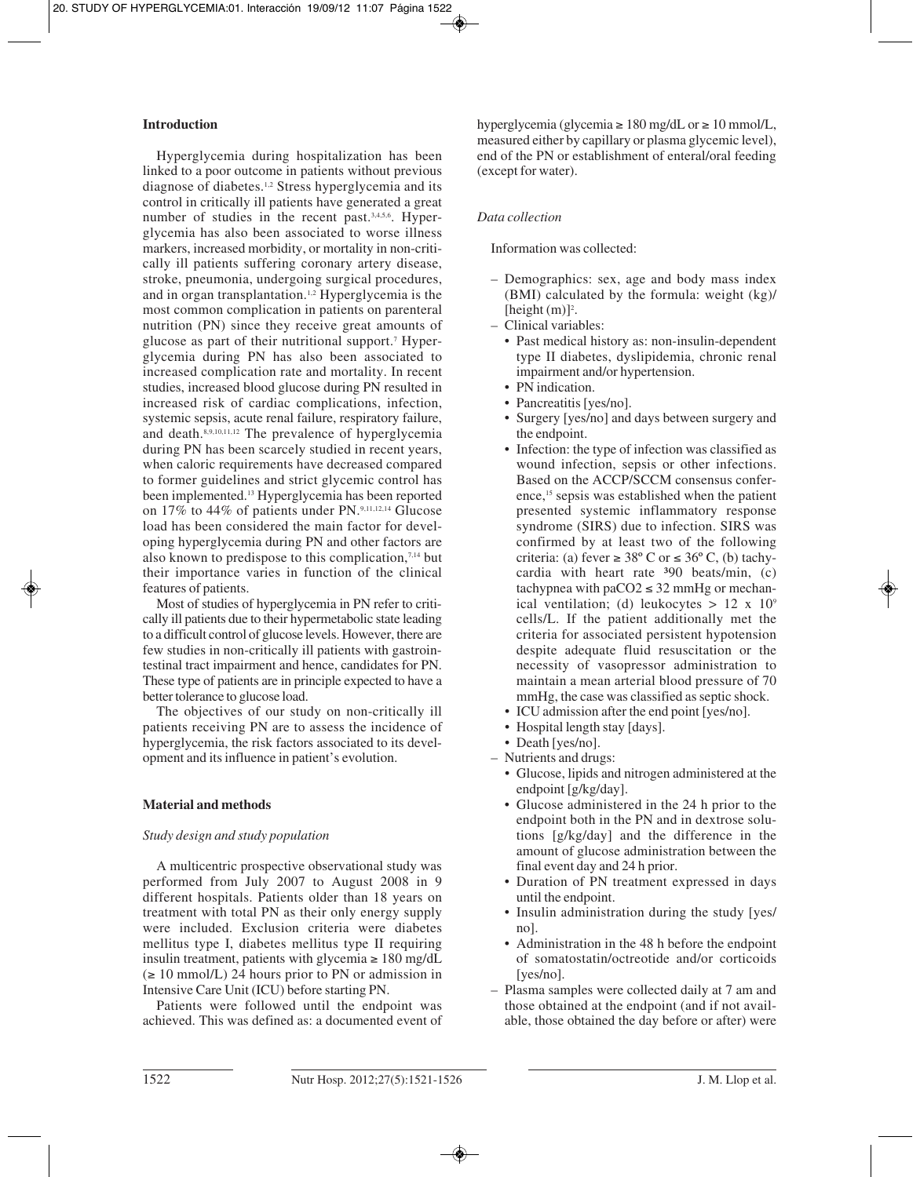# **Introduction**

Hyperglycemia during hospitalization has been linked to a poor outcome in patients without previous diagnose of diabetes.1,2 Stress hyperglycemia and its control in critically ill patients have generated a great number of studies in the recent past.<sup>3,4,5,6</sup>. Hyperglycemia has also been associated to worse illness markers, increased morbidity, or mortality in non-critically ill patients suffering coronary artery disease, stroke, pneumonia, undergoing surgical procedures, and in organ transplantation.1,2 Hyperglycemia is the most common complication in patients on parenteral nutrition (PN) since they receive great amounts of glucose as part of their nutritional support.7 Hyperglycemia during PN has also been associated to increased complication rate and mortality. In recent studies, increased blood glucose during PN resulted in increased risk of cardiac complications, infection, systemic sepsis, acute renal failure, respiratory failure, and death.<sup>8,9,10,11,12</sup> The prevalence of hyperglycemia during PN has been scarcely studied in recent years, when caloric requirements have decreased compared to former guidelines and strict glycemic control has been implemented.13 Hyperglycemia has been reported on 17% to 44% of patients under PN.9,11,12,14 Glucose load has been considered the main factor for developing hyperglycemia during PN and other factors are also known to predispose to this complication, $7,14$  but their importance varies in function of the clinical features of patients.

Most of studies of hyperglycemia in PN refer to critically ill patients due to their hypermetabolic state leading to a difficult control of glucose levels. However, there are few studies in non-critically ill patients with gastrointestinal tract impairment and hence, candidates for PN. These type of patients are in principle expected to have a better tolerance to glucose load.

The objectives of our study on non-critically ill patients receiving PN are to assess the incidence of hyperglycemia, the risk factors associated to its development and its influence in patient's evolution.

## **Material and methods**

## *Study design and study population*

A multicentric prospective observational study was performed from July 2007 to August 2008 in 9 different hospitals. Patients older than 18 years on treatment with total PN as their only energy supply were included. Exclusion criteria were diabetes mellitus type I, diabetes mellitus type II requiring insulin treatment, patients with glycemia  $\geq 180$  mg/dL  $\geq 10$  mmol/L) 24 hours prior to PN or admission in Intensive Care Unit (ICU) before starting PN.

Patients were followed until the endpoint was achieved. This was defined as: a documented event of

hyperglycemia (glycemia  $\geq 180$  mg/dL or  $\geq 10$  mmol/L, measured either by capillary or plasma glycemic level), end of the PN or establishment of enteral/oral feeding (except for water).

# *Data collection*

## Information was collected:

- Demographics: sex, age and body mass index (BMI) calculated by the formula: weight (kg)/ [height $(m)$ ]<sup>2</sup>.
- Clinical variables:
	- • Past medical history as: non-insulin-dependent type II diabetes, dyslipidemia, chronic renal impairment and/or hypertension.
	- PN indication.
	- Pancreatitis [yes/no].
	- • Surgery [yes/no] and days between surgery and the endpoint.
	- • Infection: the type of infection was classified as wound infection, sepsis or other infections. Based on the ACCP/SCCM consensus conference,<sup>15</sup> sepsis was established when the patient presented systemic inflammatory response syndrome (SIRS) due to infection. SIRS was confirmed by at least two of the following criteria: (a) fever  $\geq 38^{\circ}$  C or  $\leq 36^{\circ}$  C, (b) tachycardia with heart rate  $390$  beats/min, (c) tachypnea with paCO2  $\leq$  32 mmHg or mechanical ventilation; (d) leukocytes  $> 12 \times 10^9$ cells/L. If the patient additionally met the criteria for associated persistent hypotension despite adequate fluid resuscitation or the necessity of vasopressor administration to maintain a mean arterial blood pressure of 70 mmHg, the case was classified as septic shock.
	- • ICU admission after the end point [yes/no].
	- • Hospital length stay [days].
	- Death [yes/no].
- Nutrients and drugs:
	- • Glucose, lipids and nitrogen administered at the endpoint [g/kg/day].
	- • Glucose administered in the 24 h prior to the endpoint both in the PN and in dextrose solutions [g/kg/day] and the difference in the amount of glucose administration between the final event day and 24 h prior.
	- • Duration of PN treatment expressed in days until the endpoint.
	- Insulin administration during the study [yes/ no].
	- • Administration in the 48 h before the endpoint of somatostatin/octreotide and/or corticoids [yes/no].
- Plasma samples were collected daily at 7 am and those obtained at the endpoint (and if not available, those obtained the day before or after) were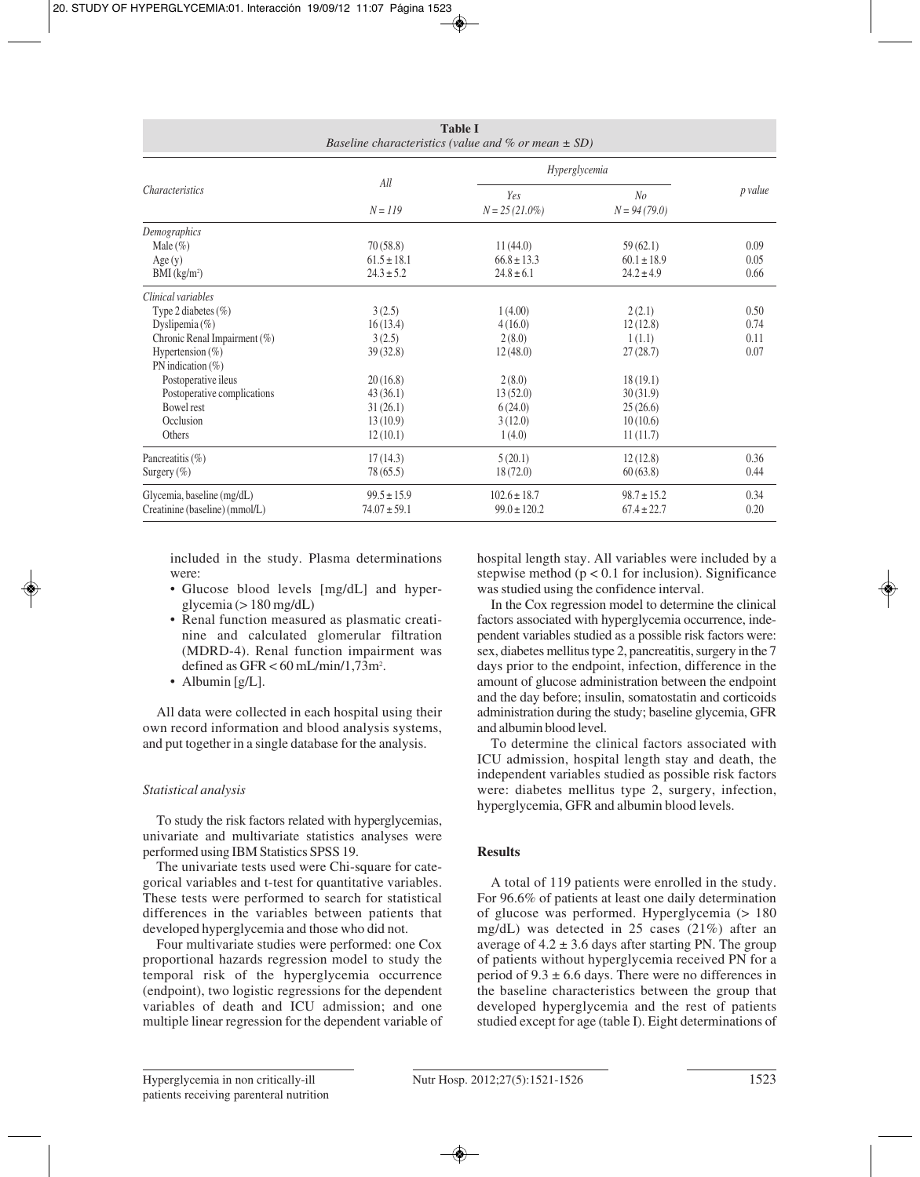| <b>Table I</b><br>Baseline characteristics (value and $%$ or mean $\pm$ SD)                                                                                                                                                                                |                                                                                                      |                                                                                                |                                                                                                      |                              |  |  |
|------------------------------------------------------------------------------------------------------------------------------------------------------------------------------------------------------------------------------------------------------------|------------------------------------------------------------------------------------------------------|------------------------------------------------------------------------------------------------|------------------------------------------------------------------------------------------------------|------------------------------|--|--|
| <i>Characteristics</i>                                                                                                                                                                                                                                     | All<br>$N = 119$                                                                                     | Hyperglycemia                                                                                  |                                                                                                      |                              |  |  |
|                                                                                                                                                                                                                                                            |                                                                                                      | Yes<br>$N = 25(21.0\%)$                                                                        | N <sub>o</sub><br>$N = 94(79.0)$                                                                     | p value                      |  |  |
| Demographics<br>Male $(\% )$<br>Age(y)<br>BMI (kg/m <sup>2</sup> )                                                                                                                                                                                         | 70(58.8)<br>$61.5 \pm 18.1$<br>$24.3 \pm 5.2$                                                        | 11(44.0)<br>$66.8 \pm 13.3$<br>$24.8 \pm 6.1$                                                  | 59(62.1)<br>$60.1 \pm 18.9$<br>$24.2 \pm 4.9$                                                        | 0.09<br>0.05<br>0.66         |  |  |
| Clinical variables<br>Type 2 diabetes $(\% )$<br>Dyslipemia $(\%)$<br>Chronic Renal Impairment (%)<br>Hypertension $(\%)$<br>PN indication $(\%)$<br>Postoperative ileus<br>Postoperative complications<br><b>Bowel rest</b><br>Occlusion<br><b>Others</b> | 3(2.5)<br>16(13.4)<br>3(2.5)<br>39(32.8)<br>20(16.8)<br>43(36.1)<br>31(26.1)<br>13(10.9)<br>12(10.1) | 1(4.00)<br>4(16.0)<br>2(8.0)<br>12(48.0)<br>2(8.0)<br>13(52.0)<br>6(24.0)<br>3(12.0)<br>1(4.0) | 2(2.1)<br>12(12.8)<br>1(1.1)<br>27(28.7)<br>18(19.1)<br>30(31.9)<br>25(26.6)<br>10(10.6)<br>11(11.7) | 0.50<br>0.74<br>0.11<br>0.07 |  |  |
| Pancreatitis $(\% )$<br>Surgery $(\%)$                                                                                                                                                                                                                     | 17(14.3)<br>78 (65.5)                                                                                | 5(20.1)<br>18(72.0)                                                                            | 12(12.8)<br>60(63.8)                                                                                 | 0.36<br>0.44                 |  |  |
| Glycemia, baseline (mg/dL)<br>Creatinine (baseline) (mmol/L)                                                                                                                                                                                               | $99.5 \pm 15.9$<br>$74.07 \pm 59.1$                                                                  | $102.6 \pm 18.7$<br>$99.0 \pm 120.2$                                                           | $98.7 \pm 15.2$<br>$67.4 \pm 22.7$                                                                   | 0.34<br>0.20                 |  |  |

included in the study. Plasma determinations were:

- Glucose blood levels [mg/dL] and hyperglycemia ( $> 180$  mg/dL)
- • Renal function measured as plasmatic creatinine and calculated glomerular filtration (MDRD-4). Renal function impairment was defined as  $GFR < 60$  mL/min/1,73m<sup>2</sup>.
- Albumin [g/L].

All data were collected in each hospital using their own record information and blood analysis systems, and put together in a single database for the analysis.

# *Statistical analysis*

To study the risk factors related with hyperglycemias, univariate and multivariate statistics analyses were performed using IBM Statistics SPSS 19.

The univariate tests used were Chi-square for categorical variables and t-test for quantitative variables. These tests were performed to search for statistical differences in the variables between patients that developed hyperglycemia and those who did not.

Four multivariate studies were performed: one Cox proportional hazards regression model to study the temporal risk of the hyperglycemia occurrence (endpoint), two logistic regressions for the dependent variables of death and ICU admission; and one multiple linear regression for the dependent variable of hospital length stay. All variables were included by a stepwise method ( $p < 0.1$  for inclusion). Significance was studied using the confidence interval.

In the Cox regression model to determine the clinical factors associated with hyperglycemia occurrence, independent variables studied as a possible risk factors were: sex, diabetes mellitus type 2, pancreatitis, surgery in the 7 days prior to the endpoint, infection, difference in the amount of glucose administration between the endpoint and the day before; insulin, somatostatin and corticoids administration during the study; baseline glycemia, GFR and albumin blood level.

To determine the clinical factors associated with ICU admission, hospital length stay and death, the independent variables studied as possible risk factors were: diabetes mellitus type 2, surgery, infection, hyperglycemia, GFR and albumin blood levels.

# **Results**

A total of 119 patients were enrolled in the study. For 96.6% of patients at least one daily determination of glucose was performed. Hyperglycemia (> 180 mg/dL) was detected in 25 cases (21%) after an average of  $4.2 \pm 3.6$  days after starting PN. The group of patients without hyperglycemia received PN for a period of  $9.3 \pm 6.6$  days. There were no differences in the baseline characteristics between the group that developed hyperglycemia and the rest of patients studied except for age (table I). Eight determinations of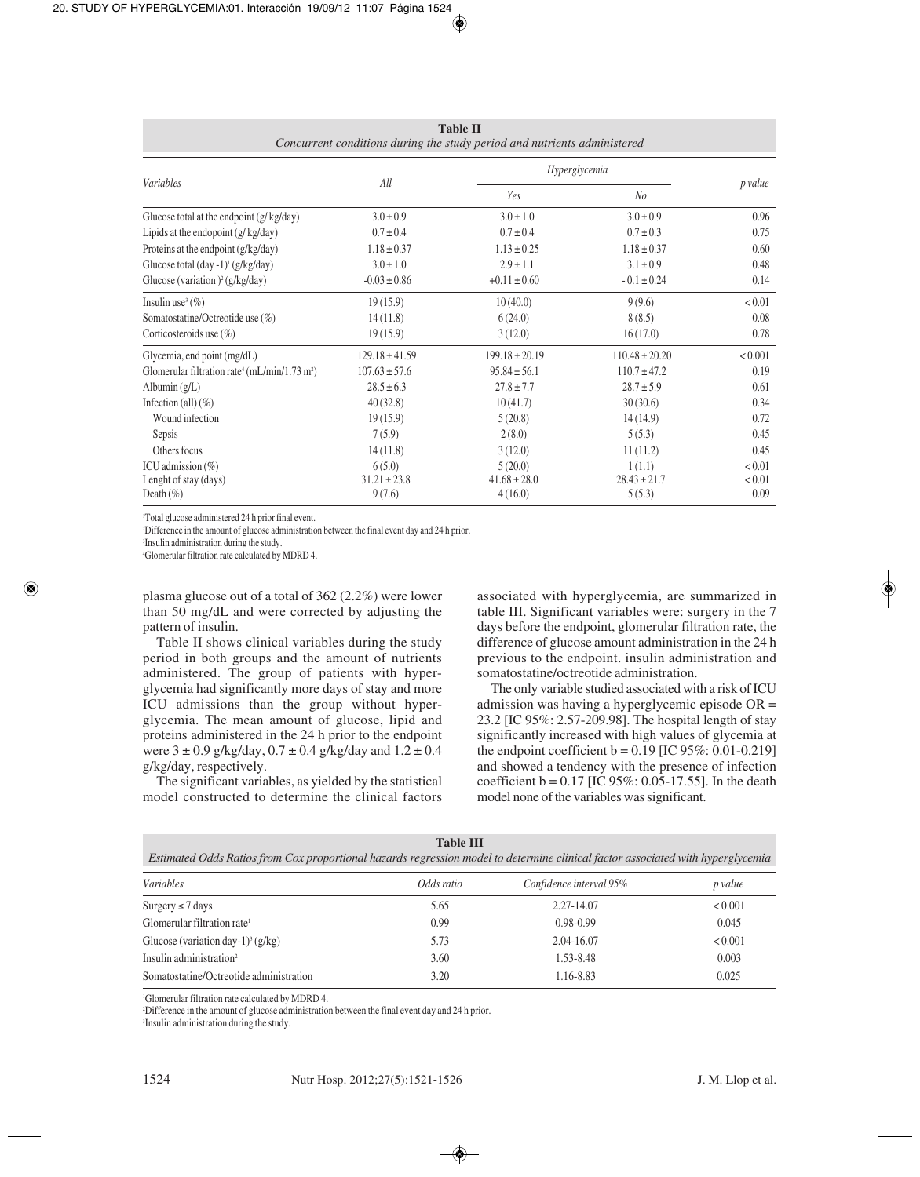**Table II** *Concurrent conditions during the study period and nutrients administered*

|                                                                       |                    | Hyperglycemia      |                    |         |
|-----------------------------------------------------------------------|--------------------|--------------------|--------------------|---------|
| <i>Variables</i>                                                      | All                | Yes                | N <sub>o</sub>     | p value |
| Glucose total at the endpoint $(g/kg/day)$                            | $3.0 \pm 0.9$      | $3.0 \pm 1.0$      | $3.0 \pm 0.9$      | 0.96    |
| Lipids at the endopoint $(g/kg/day)$                                  | $0.7 \pm 0.4$      | $0.7 \pm 0.4$      | $0.7 \pm 0.3$      | 0.75    |
| Proteins at the endpoint (g/kg/day)                                   | $1.18 \pm 0.37$    | $1.13 \pm 0.25$    | $1.18 \pm 0.37$    | 0.60    |
| Glucose total $(\text{day -1})^1$ (g/kg/day)                          | $3.0 \pm 1.0$      | $2.9 \pm 1.1$      | $3.1 \pm 0.9$      | 0.48    |
| Glucose (variation) <sup>2</sup> (g/kg/day)                           | $-0.03 \pm 0.86$   | $+0.11 \pm 0.60$   | $-0.1 \pm 0.24$    | 0.14    |
| Insulin use <sup>3</sup> $(\% )$                                      | 19(15.9)           | 10(40.0)           | 9(9.6)             | < 0.01  |
| Somatostatine/Octreotide use $(\%)$                                   | 14(11.8)           | 6(24.0)            | 8(8.5)             | 0.08    |
| Corticosteroids use $(\%)$                                            | 19(15.9)           | 3(12.0)            | 16(17.0)           | 0.78    |
| Glycemia, end point (mg/dL)                                           | $129.18 \pm 41.59$ | $199.18 \pm 20.19$ | $110.48 \pm 20.20$ | < 0.001 |
| Glomerular filtration rate <sup>4</sup> (mL/min/1.73 m <sup>2</sup> ) | $107.63 \pm 57.6$  | $95.84 \pm 56.1$   | $110.7 \pm 47.2$   | 0.19    |
| Albumin $(g/L)$                                                       | $28.5 \pm 6.3$     | $27.8 \pm 7.7$     | $28.7 \pm 5.9$     | 0.61    |
| Infection (all) $(\% )$                                               | 40(32.8)           | 10(41.7)           | 30(30.6)           | 0.34    |
| Wound infection                                                       | 19(15.9)           | 5(20.8)            | 14(14.9)           | 0.72    |
| Sepsis                                                                | 7(5.9)             | 2(8.0)             | 5(5.3)             | 0.45    |
| Others focus                                                          | 14(11.8)           | 3(12.0)            | 11(11.2)           | 0.45    |
| ICU admission $(\% )$                                                 | 6(5.0)             | 5(20.0)            | 1(1.1)             | < 0.01  |
| Lenght of stay (days)                                                 | $31.21 \pm 23.8$   | $41.68 \pm 28.0$   | $28.43 \pm 21.7$   | < 0.01  |
| Death $(\%)$                                                          | 9(7.6)             | 4(16.0)            | 5(5.3)             | 0.09    |

1 Total glucose administered 24 h prior final event.

2 Difference in the amount of glucose administration between the final event day and 24 h prior.

3 Insulin administration during the study.

4 Glomerular filtration rate calculated by MDRD 4.

plasma glucose out of a total of 362 (2.2%) were lower than 50 mg/dL and were corrected by adjusting the pattern of insulin.

Table II shows clinical variables during the study period in both groups and the amount of nutrients administered. The group of patients with hyperglycemia had significantly more days of stay and more ICU admissions than the group without hyperglycemia. The mean amount of glucose, lipid and proteins administered in the 24 h prior to the endpoint were  $3 \pm 0.9$  g/kg/day,  $0.7 \pm 0.4$  g/kg/day and  $1.2 \pm 0.4$ g/kg/day, respectively.

The significant variables, as yielded by the statistical model constructed to determine the clinical factors associated with hyperglycemia, are summarized in table III. Significant variables were: surgery in the 7 days before the endpoint, glomerular filtration rate, the difference of glucose amount administration in the 24 h previous to the endpoint. insulin administration and somatostatine/octreotide administration.

The only variable studied associated with a risk of ICU admission was having a hyperglycemic episode OR = 23.2 [IC 95%: 2.57-209.98]. The hospital length of stay significantly increased with high values of glycemia at the endpoint coefficient  $b = 0.19$  [IC 95%: 0.01-0.219] and showed a tendency with the presence of infection coefficient  $b = 0.17$  [IC 95%: 0.05-17.55]. In the death model none of the variables was significant.

| <b>Table III</b><br>Estimated Odds Ratios from Cox proportional hazards regression model to determine clinical factor associated with hyperglycemia |            |                         |         |  |  |  |
|-----------------------------------------------------------------------------------------------------------------------------------------------------|------------|-------------------------|---------|--|--|--|
| Variables                                                                                                                                           | Odds ratio | Confidence interval 95% | p value |  |  |  |
| Surgery $\leq 7$ days                                                                                                                               | 5.65       | 2.27-14.07              | < 0.001 |  |  |  |
| Glomerular filtration rate <sup>1</sup>                                                                                                             | 0.99       | $0.98 - 0.99$           | 0.045   |  |  |  |
| Glucose (variation day-1) <sup>3</sup> (g/kg)                                                                                                       | 5.73       | 2.04-16.07              | < 0.001 |  |  |  |
| Insulin administration <sup>2</sup>                                                                                                                 | 3.60       | 1.53-8.48               | 0.003   |  |  |  |
| Somatostatine/Octreotide administration                                                                                                             | 3.20       | 1.16-8.83               | 0.025   |  |  |  |

1 Glomerular filtration rate calculated by MDRD 4.

2 Difference in the amount of glucose administration between the final event day and 24 h prior.

3 Insulin administration during the study.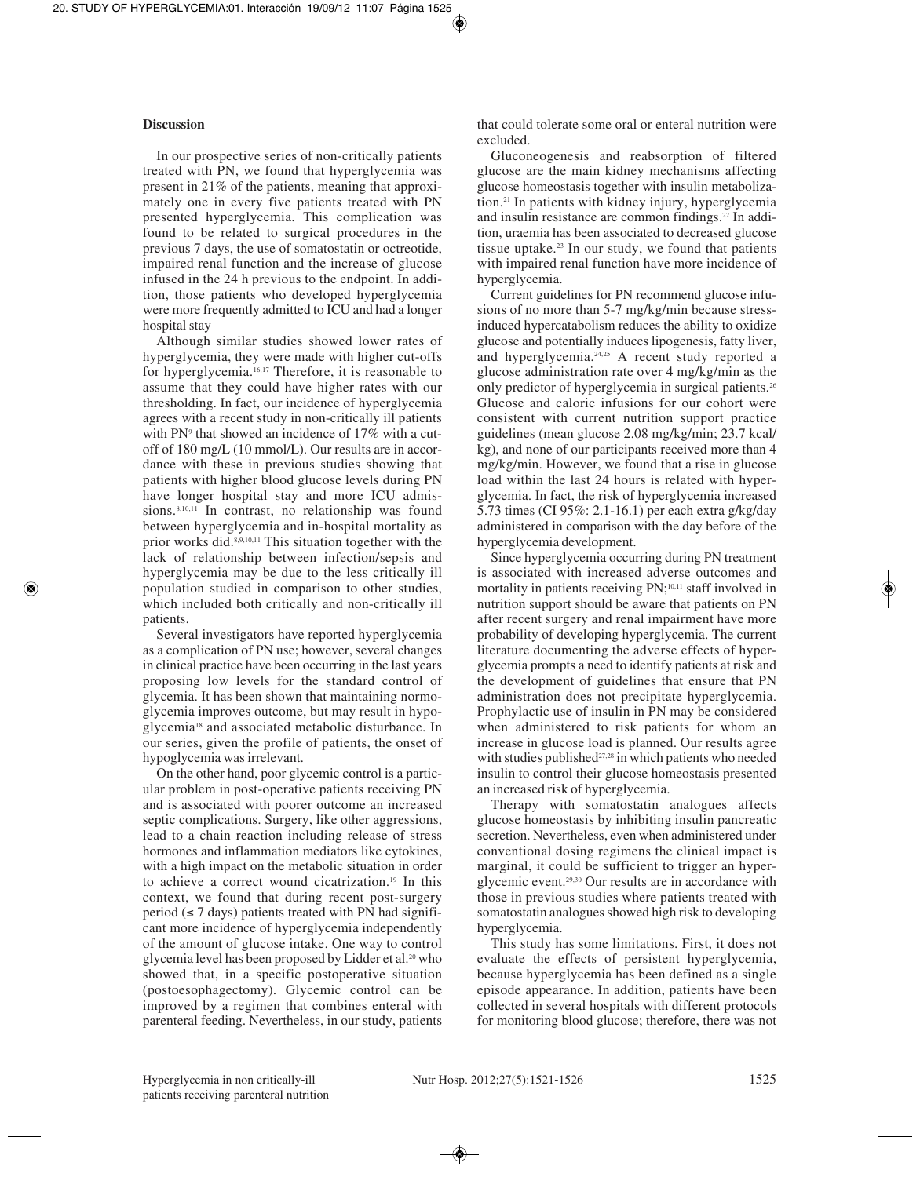# **Discussion**

In our prospective series of non-critically patients treated with PN, we found that hyperglycemia was present in 21% of the patients, meaning that approximately one in every five patients treated with PN presented hyperglycemia. This complication was found to be related to surgical procedures in the previous 7 days, the use of somatostatin or octreotide, impaired renal function and the increase of glucose infused in the 24 h previous to the endpoint. In addition, those patients who developed hyperglycemia were more frequently admitted to ICU and had a longer hospital stay

Although similar studies showed lower rates of hyperglycemia, they were made with higher cut-offs for hyperglycemia.16,17 Therefore, it is reasonable to assume that they could have higher rates with our thresholding. In fact, our incidence of hyperglycemia agrees with a recent study in non-critically ill patients with PN<sup>9</sup> that showed an incidence of 17% with a cutoff of 180 mg/L (10 mmol/L). Our results are in accordance with these in previous studies showing that patients with higher blood glucose levels during PN have longer hospital stay and more ICU admissions.<sup>8,10,11</sup> In contrast, no relationship was found between hyperglycemia and in-hospital mortality as prior works did.8,9,10,11 This situation together with the lack of relationship between infection/sepsis and hyperglycemia may be due to the less critically ill population studied in comparison to other studies, which included both critically and non-critically ill patients.

Several investigators have reported hyperglycemia as a complication of PN use; however, several changes in clinical practice have been occurring in the last years proposing low levels for the standard control of glycemia. It has been shown that maintaining normoglycemia improves outcome, but may result in hypoglycemia18 and associated metabolic disturbance. In our series, given the profile of patients, the onset of hypoglycemia was irrelevant.

On the other hand, poor glycemic control is a particular problem in post-operative patients receiving PN and is associated with poorer outcome an increased septic complications. Surgery, like other aggressions, lead to a chain reaction including release of stress hormones and inflammation mediators like cytokines, with a high impact on the metabolic situation in order to achieve a correct wound cicatrization.19 In this context, we found that during recent post-surgery period ( $\leq 7$  days) patients treated with PN had significant more incidence of hyperglycemia independently of the amount of glucose intake. One way to control glycemia level has been proposed by Lidder et al.20 who showed that, in a specific postoperative situation (postoesophagectomy). Glycemic control can be improved by a regimen that combines enteral with parenteral feeding. Nevertheless, in our study, patients

that could tolerate some oral or enteral nutrition were excluded.

Gluconeogenesis and reabsorption of filtered glucose are the main kidney mechanisms affecting glucose homeostasis together with insulin metabolization.21 In patients with kidney injury, hyperglycemia and insulin resistance are common findings.22 In addition, uraemia has been associated to decreased glucose tissue uptake.23 In our study, we found that patients with impaired renal function have more incidence of hyperglycemia.

Current guidelines for PN recommend glucose infusions of no more than 5-7 mg/kg/min because stressinduced hypercatabolism reduces the ability to oxidize glucose and potentially induces lipogenesis, fatty liver, and hyperglycemia.24,25 A recent study reported a glucose administration rate over 4 mg/kg/min as the only predictor of hyperglycemia in surgical patients.26 Glucose and caloric infusions for our cohort were consistent with current nutrition support practice guidelines (mean glucose 2.08 mg/kg/min; 23.7 kcal/ kg), and none of our participants received more than 4 mg/kg/min. However, we found that a rise in glucose load within the last 24 hours is related with hyperglycemia. In fact, the risk of hyperglycemia increased 5.73 times (CI 95%: 2.1-16.1) per each extra g/kg/day administered in comparison with the day before of the hyperglycemia development.

Since hyperglycemia occurring during PN treatment is associated with increased adverse outcomes and mortality in patients receiving PN;<sup>10,11</sup> staff involved in nutrition support should be aware that patients on PN after recent surgery and renal impairment have more probability of developing hyperglycemia. The current literature documenting the adverse effects of hyperglycemia prompts a need to identify patients at risk and the development of guidelines that ensure that PN administration does not precipitate hyperglycemia. Prophylactic use of insulin in PN may be considered when administered to risk patients for whom an increase in glucose load is planned. Our results agree with studies published<sup>27,28</sup> in which patients who needed insulin to control their glucose homeostasis presented an increased risk of hyperglycemia.

Therapy with somatostatin analogues affects glucose homeostasis by inhibiting insulin pancreatic secretion. Nevertheless, even when administered under conventional dosing regimens the clinical impact is marginal, it could be sufficient to trigger an hyperglycemic event.29,30 Our results are in accordance with those in previous studies where patients treated with somatostatin analogues showed high risk to developing hyperglycemia.

This study has some limitations. First, it does not evaluate the effects of persistent hyperglycemia, because hyperglycemia has been defined as a single episode appearance. In addition, patients have been collected in several hospitals with different protocols for monitoring blood glucose; therefore, there was not